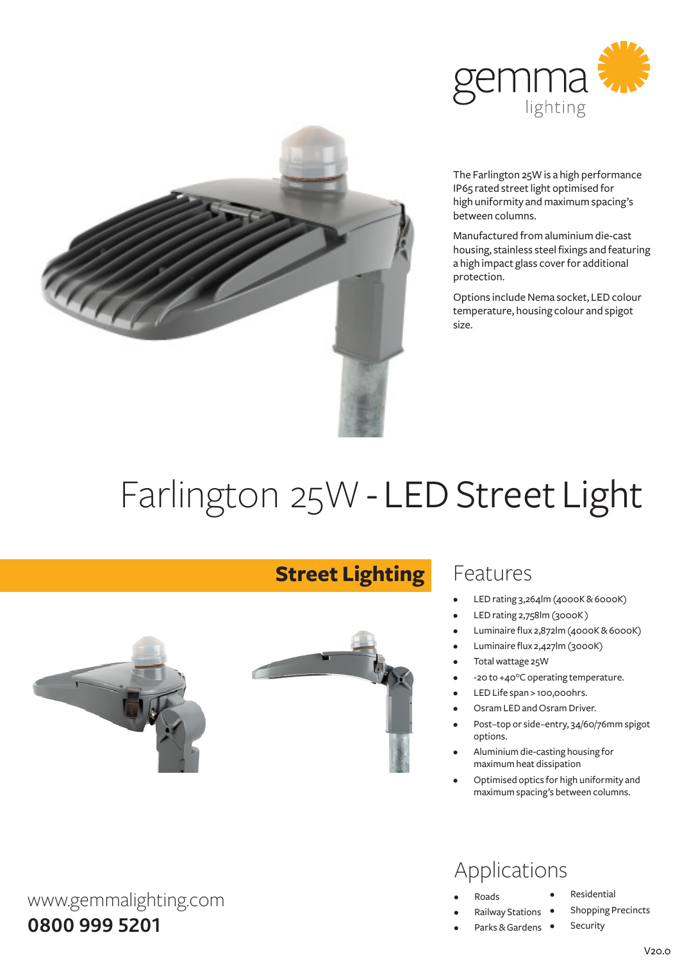



The Farlington 25W is a high performance IP65 rated street light optimised for high uniformity and maximum spacing's between columns.

Manufactured fromaluminiumdie-cast housing, stainless steel fixings and featuring a high impact glass cover for additional protection.

Options include Nema socket, LED colour temperature, housing colour and spigot size.

# Farlington 25W - LED Street Light



www.gemmalighting.com

**0800 999 5201**

#### **Street Lighting**



#### Features

- LED rating 3,264lm (4000K&6000K)
- LED rating 2,758lm (3000K)
- Luminaire flux 2,872lm (4000K & 6000K)
- Luminaire flux 2,427lm (3000K)
- Total wattage 25W
- -20 to +40°C operating temperature.
- LED Life span > 100,000hrs.
- Osram LED and Osram Driver.
- Post-top or side-entry, 34/60/76mm spigot options.
- Aluminium die-casting housing for maximumheat dissipation
- Optimised optics for high uniformity and maximumspacing's between columns.

#### Applications

- **Roads**
- **Railway Stations**
- Parks & Gardens •
- **Residential**

Security

**Shopping Precincts**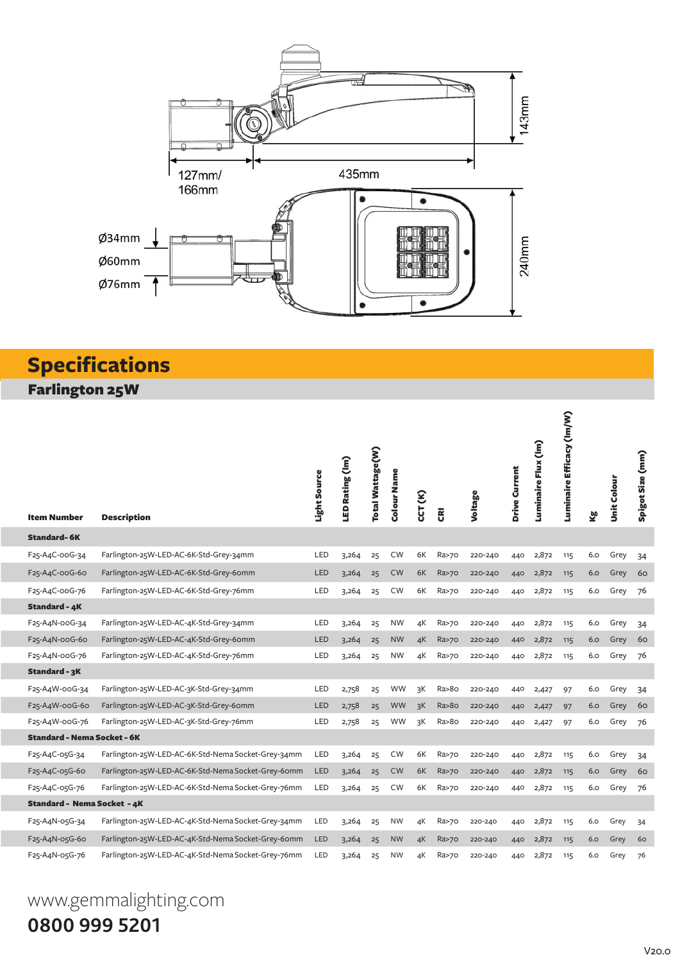

### **Specifications**

Farlington 25W

| <b>Item Number</b>                 | <b>Description</b>                                 | Light Source | LED Rating (Im) | Total Wattage(W) | Colour Name | CCT (K) | g       | Voltage | Drive Current | Luminaire Flux (Im) | Luminaire Efficacy (Im/W) | త్త | <b>Unit Colour</b> | Spigot Size (mm) |
|------------------------------------|----------------------------------------------------|--------------|-----------------|------------------|-------------|---------|---------|---------|---------------|---------------------|---------------------------|-----|--------------------|------------------|
| <b>Standard-6K</b>                 |                                                    |              |                 |                  |             |         |         |         |               |                     |                           |     |                    |                  |
| F25-A4C-00G-34                     | Farlington-25W-LED-AC-6K-Std-Grey-34mm             | LED          | 3,264           | 25               | <b>CW</b>   | 6K      | Ra>70   | 220-240 | 440           | 2,872               | 115                       | 6.0 | Grey               | 34               |
| F25-A4C-00G-60                     | Farlington-25W-LED-AC-6K-Std-Grey-6omm             | LED          | 3,264           | 25               | <b>CW</b>   | 6K      | Ra>70   | 220-240 | 440           | 2,872               | 115                       | 6.0 | Grey               | 60               |
| F25-A4C-00G-76                     | Farlington-25W-LED-AC-6K-Std-Grey-76mm             | LED          | 3,264           | 25               | <b>CW</b>   | 6K      | Ra>70   | 220-240 | 440           | 2,872               | 115                       | 6.0 | Grey               | 76               |
| <b>Standard - 4K</b>               |                                                    |              |                 |                  |             |         |         |         |               |                     |                           |     |                    |                  |
| F25-A4N-00G-34                     | Farlington-25W-LED-AC-4K-Std-Grey-34mm             | LED          | 3,264           | 25               | <b>NW</b>   | 4K      | Ra>70   | 220-240 | 440           | 2,872               | 115                       | 6.0 | Grey               | 34               |
| F25-A4N-00G-60                     | Farlington-25W-LED-AC-4K-Std-Grey-60mm             | <b>LED</b>   | 3,264           | 25               | <b>NW</b>   | 4K      | Ra>70   | 220-240 | 440           | 2,872               | 115                       | 6.0 | Grey               | 60               |
| F25-A4N-00G-76                     | Farlington-25W-LED-AC-4K-Std-Grey-76mm             | LED          | 3,264           | 25               | <b>NW</b>   | 4K      | Ra>70   | 220-240 | 440           | 2,872               | 115                       | 6.0 | Grey               | 76               |
| Standard - 3K                      |                                                    |              |                 |                  |             |         |         |         |               |                     |                           |     |                    |                  |
| F25-A4W-00G-34                     | Farlington-25W-LED-AC-3K-Std-Grey-34mm             | LED          | 2,758           | 25               | <b>WW</b>   | зK      | Ra>8o   | 220-240 | 440           | 2,427               | 97                        | 6.0 | Grey               | 34               |
| F25-A4W-00G-60                     | Farlington-25W-LED-AC-3K-Std-Grey-6omm             | <b>LED</b>   | 2,758           | 25               | <b>WW</b>   | 3K      | Ra > 80 | 220-240 | 440           | 2,427               | 97                        | 6.0 | Grey               | 60               |
| F25-A4W-00G-76                     | Farlington-25W-LED-AC-3K-Std-Grey-76mm             | LED          | 2,758           | 25               | <b>WW</b>   | 3K      | Ra>8o   | 220-240 | 440           | 2,427               | 97                        | 6.0 | Grey               | 76               |
| <b>Standard - Nema Socket - 6K</b> |                                                    |              |                 |                  |             |         |         |         |               |                     |                           |     |                    |                  |
| F25-A4C-05G-34                     | Farlington-25W-LED-AC-6K-Std-Nema Socket-Grey-34mm | LED          | 3,264           | 25               | <b>CW</b>   | 6K      | Ra>70   | 220-240 | 440           | 2,872               | 115                       | 6.0 | Grey               | 34               |
| F25-A4C-05G-60                     | Farlington-25W-LED-AC-6K-Std-Nema Socket-Grey-6omm | LED          | 3,264           | 25               | CW          | 6K      | Ra>70   | 220-240 | 440           | 2,872               | 115                       | 6.0 | Grey               | 60               |
| F25-A4C-05G-76                     | Farlington-25W-LED-AC-6K-Std-Nema Socket-Grey-76mm | LED          | 3,264           | 25               | <b>CW</b>   | 6K      | Ra>70   | 220-240 | 440           | 2,872               | 115                       | 6.0 | Grey               | 76               |
| Standard - Nema Socket <i>-</i> 4K |                                                    |              |                 |                  |             |         |         |         |               |                     |                           |     |                    |                  |
| F25-A4N-05G-34                     | Farlington-25W-LED-AC-4K-Std-Nema Socket-Grey-34mm | LED          | 3,264           | 25               | <b>NW</b>   | 4К      | Ra>70   | 220-240 | 440           | 2,872               | 115                       | 6.0 | Grey               | 34               |
| F25-A4N-05G-60                     | Farlington-25W-LED-AC-4K-Std-Nema Socket-Grey-6omm | LED          | 3,264           | 25               | <b>NW</b>   | 4K      | Ra>70   | 220-240 | 440           | 2,872               | 115                       | 6.0 | Grey               | 60               |
| F25-A4N-05G-76                     | Farlington-25W-LED-AC-4K-Std-Nema Socket-Grey-76mm | LED          | 3,264           | 25               | <b>NW</b>   | 4K      | Ra>70   | 220-240 | 440           | 2,872               | 115                       | 6.0 | Grey               | 76               |

## www.gemmalighting.com